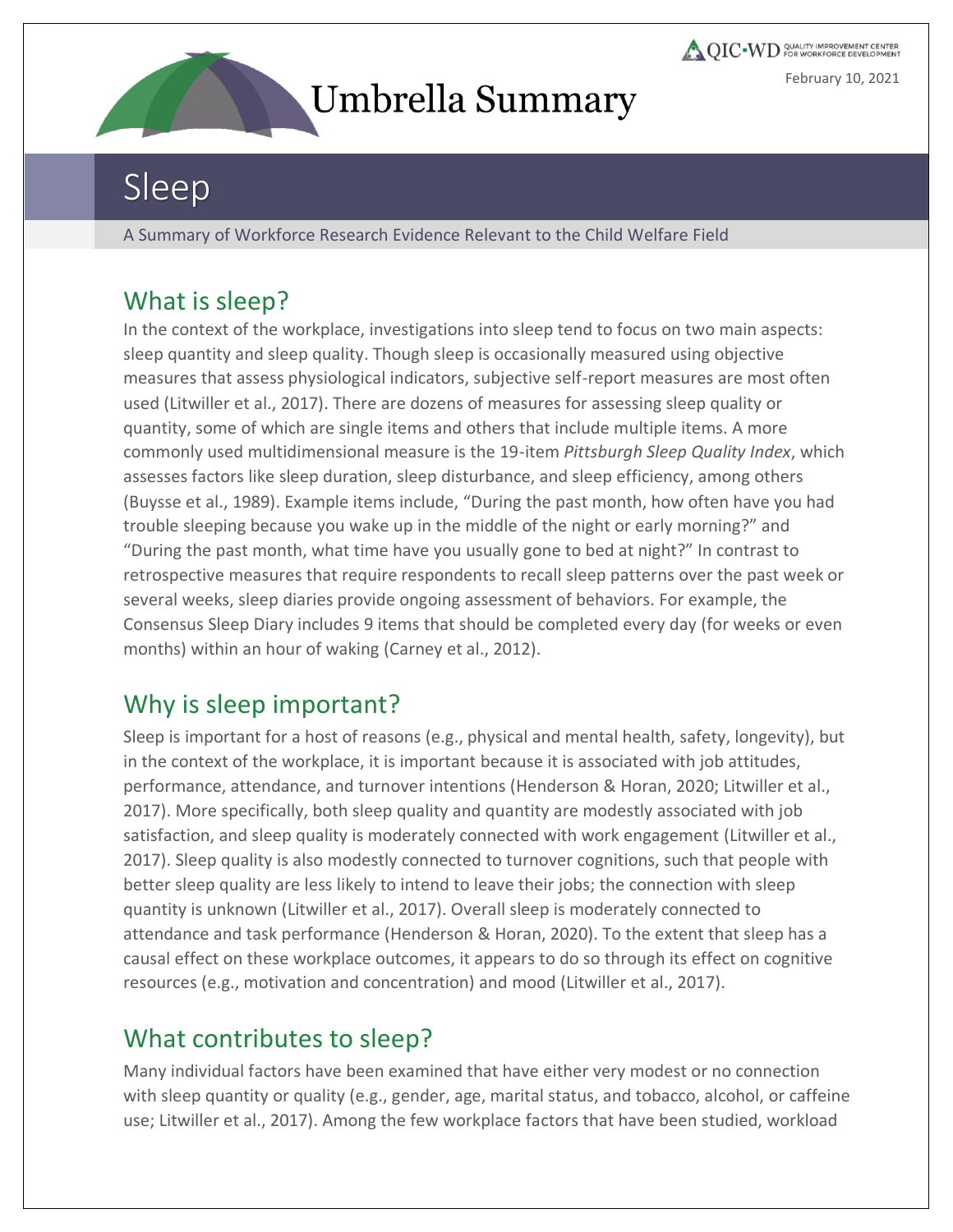

**QIC** WD COALITY IMPROVEMENT CENTER February 10, 2021

# Sleep

A Summary of Workforce Research Evidence Relevant to the Child Welfare Field

#### What is sleep?

In the context of the workplace, investigations into sleep tend to focus on two main aspects: sleep quantity and sleep quality. Though sleep is occasionally measured using objective measures that assess physiological indicators, subjective self-report measures are most often used (Litwiller et al., 2017). There are dozens of measures for assessing sleep quality or quantity, some of which are single items and others that include multiple items. A more commonly used multidimensional measure is the 19-item *Pittsburgh Sleep Quality Index*, which assesses factors like sleep duration, sleep disturbance, and sleep efficiency, among others (Buysse et al., 1989). Example items include, "During the past month, how often have you had trouble sleeping because you wake up in the middle of the night or early morning?" and "During the past month, what time have you usually gone to bed at night?" In contrast to retrospective measures that require respondents to recall sleep patterns over the past week or several weeks, sleep diaries provide ongoing assessment of behaviors. For example, the Consensus Sleep Diary includes 9 items that should be completed every day (for weeks or even months) within an hour of waking (Carney et al., 2012).

#### Why is sleep important?

Sleep is important for a host of reasons (e.g., physical and mental health, safety, longevity), but in the context of the workplace, it is important because it is associated with job attitudes, performance, attendance, and turnover intentions (Henderson & Horan, 2020; Litwiller et al., 2017). More specifically, both sleep quality and quantity are modestly associated with job satisfaction, and sleep quality is moderately connected with work engagement (Litwiller et al., 2017). Sleep quality is also modestly connected to turnover cognitions, such that people with better sleep quality are less likely to intend to leave their jobs; the connection with sleep quantity is unknown (Litwiller et al., 2017). Overall sleep is moderately connected to attendance and task performance (Henderson & Horan, 2020). To the extent that sleep has a causal effect on these workplace outcomes, it appears to do so through its effect on cognitive resources (e.g., motivation and concentration) and mood (Litwiller et al., 2017).

#### What contributes to sleep?

Many individual factors have been examined that have either very modest or no connection with sleep quantity or quality (e.g., gender, age, marital status, and tobacco, alcohol, or caffeine use; Litwiller et al., 2017). Among the few workplace factors that have been studied, workload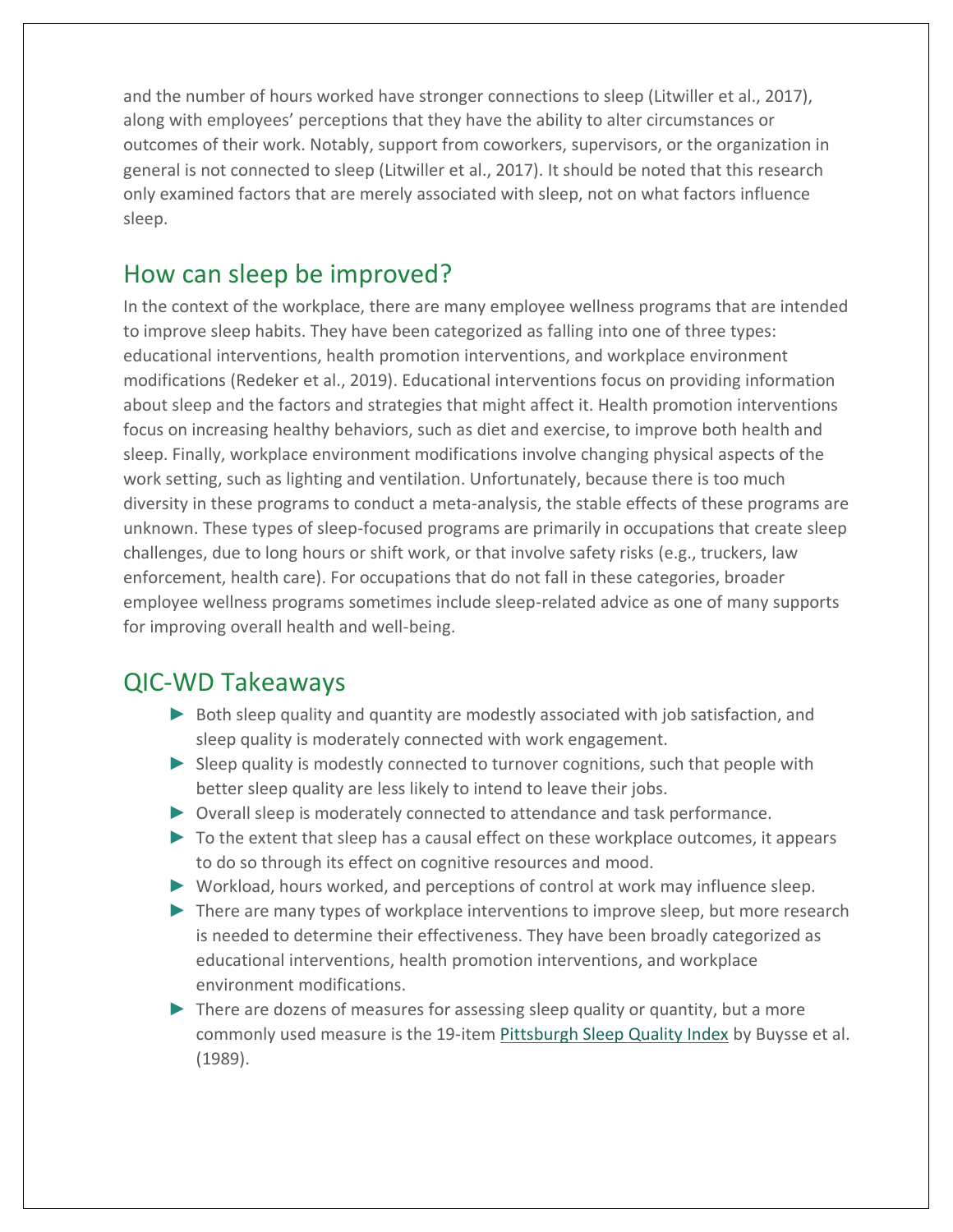and the number of hours worked have stronger connections to sleep (Litwiller et al., 2017), along with employees' perceptions that they have the ability to alter circumstances or outcomes of their work. Notably, support from coworkers, supervisors, or the organization in general is not connected to sleep (Litwiller et al., 2017). It should be noted that this research only examined factors that are merely associated with sleep, not on what factors influence sleep.

#### How can sleep be improved?

In the context of the workplace, there are many employee wellness programs that are intended to improve sleep habits. They have been categorized as falling into one of three types: educational interventions, health promotion interventions, and workplace environment modifications (Redeker et al., 2019). Educational interventions focus on providing information about sleep and the factors and strategies that might affect it. Health promotion interventions focus on increasing healthy behaviors, such as diet and exercise, to improve both health and sleep. Finally, workplace environment modifications involve changing physical aspects of the work setting, such as lighting and ventilation. Unfortunately, because there is too much diversity in these programs to conduct a meta-analysis, the stable effects of these programs are unknown. These types of sleep-focused programs are primarily in occupations that create sleep challenges, due to long hours or shift work, or that involve safety risks (e.g., truckers, law enforcement, health care). For occupations that do not fall in these categories, broader employee wellness programs sometimes include sleep-related advice as one of many supports for improving overall health and well-being.

#### QIC-WD Takeaways

- ► Both sleep quality and quantity are modestly associated with job satisfaction, and sleep quality is moderately connected with work engagement.
- ► Sleep quality is modestly connected to turnover cognitions, such that people with better sleep quality are less likely to intend to leave their jobs.
- ► Overall sleep is moderately connected to attendance and task performance.
- ► To the extent that sleep has a causal effect on these workplace outcomes, it appears to do so through its effect on cognitive resources and mood.
- ► Workload, hours worked, and perceptions of control at work may influence sleep.
- ► There are many types of workplace interventions to improve sleep, but more research is needed to determine their effectiveness. They have been broadly categorized as educational interventions, health promotion interventions, and workplace environment modifications.
- ► There are dozens of measures for assessing sleep quality or quantity, but a more commonly used measure is the 19-item [Pittsburgh Sleep Quality Index](https://www.sleep.pitt.edu/instruments/) by Buysse et al. (1989).